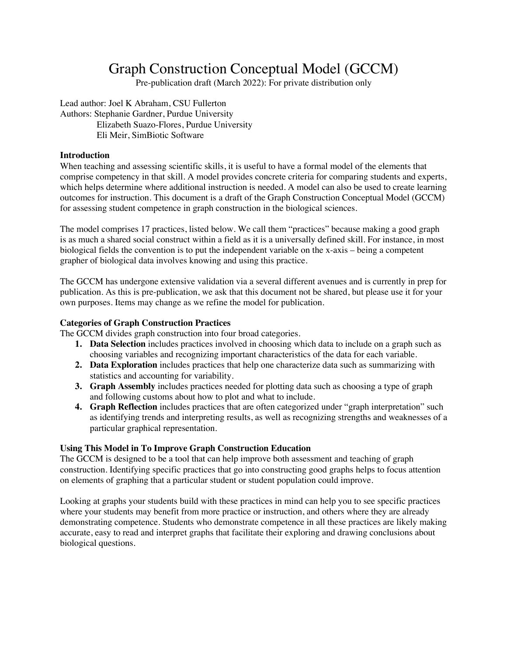# Graph Construction Conceptual Model (GCCM)

Pre-publication draft (March 2022): For private distribution only

Lead author: Joel K Abraham, CSU Fullerton Authors: Stephanie Gardner, Purdue University Elizabeth Suazo-Flores, Purdue University Eli Meir, SimBiotic Software

### **Introduction**

When teaching and assessing scientific skills, it is useful to have a formal model of the elements that comprise competency in that skill. A model provides concrete criteria for comparing students and experts, which helps determine where additional instruction is needed. A model can also be used to create learning outcomes for instruction. This document is a draft of the Graph Construction Conceptual Model (GCCM) for assessing student competence in graph construction in the biological sciences.

The model comprises 17 practices, listed below. We call them "practices" because making a good graph is as much a shared social construct within a field as it is a universally defined skill. For instance, in most biological fields the convention is to put the independent variable on the x-axis – being a competent grapher of biological data involves knowing and using this practice.

The GCCM has undergone extensive validation via a several different avenues and is currently in prep for publication. As this is pre-publication, we ask that this document not be shared, but please use it for your own purposes. Items may change as we refine the model for publication.

### **Categories of Graph Construction Practices**

The GCCM divides graph construction into four broad categories.

- **1. Data Selection** includes practices involved in choosing which data to include on a graph such as choosing variables and recognizing important characteristics of the data for each variable.
- **2. Data Exploration** includes practices that help one characterize data such as summarizing with statistics and accounting for variability.
- **3. Graph Assembly** includes practices needed for plotting data such as choosing a type of graph and following customs about how to plot and what to include.
- **4. Graph Reflection** includes practices that are often categorized under "graph interpretation" such as identifying trends and interpreting results, as well as recognizing strengths and weaknesses of a particular graphical representation.

### **Using This Model in To Improve Graph Construction Education**

The GCCM is designed to be a tool that can help improve both assessment and teaching of graph construction. Identifying specific practices that go into constructing good graphs helps to focus attention on elements of graphing that a particular student or student population could improve.

Looking at graphs your students build with these practices in mind can help you to see specific practices where your students may benefit from more practice or instruction, and others where they are already demonstrating competence. Students who demonstrate competence in all these practices are likely making accurate, easy to read and interpret graphs that facilitate their exploring and drawing conclusions about biological questions.